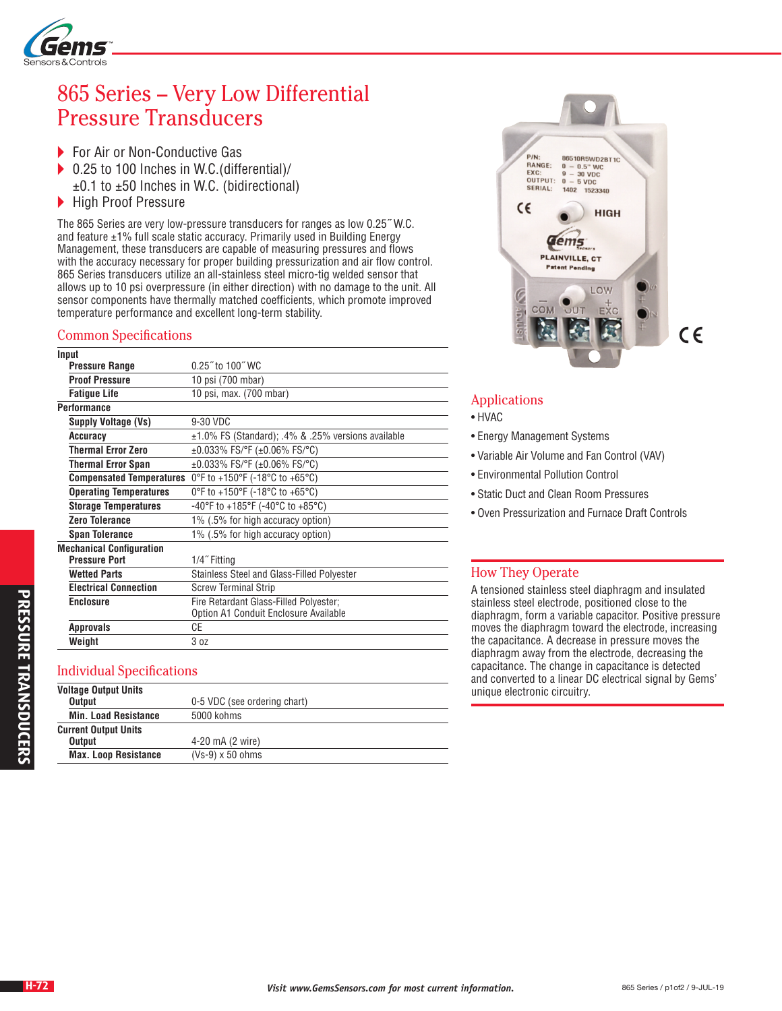

# 865 Series – Very Low Differential Pressure Transducers

- ▶ For Air or Non-Conductive Gas
- ▶ 0.25 to 100 Inches in W.C.(differential)/  $±0.1$  to  $±50$  Inches in W.C. (bidirectional)
- High Proof Pressure

The 865 Series are very low-pressure transducers for ranges as low 0.25˝ W.C. and feature ±1% full scale static accuracy. Primarily used in Building Energy Management, these transducers are capable of measuring pressures and flows with the accuracy necessary for proper building pressurization and air flow control. 865 Series transducers utilize an all-stainless steel micro-tig welded sensor that allows up to 10 psi overpressure (in either direction) with no damage to the unit. All sensor components have thermally matched coefficients, which promote improved temperature performance and excellent long-term stability.

#### Common Specifications

| Input                           |                                                          |
|---------------------------------|----------------------------------------------------------|
| <b>Pressure Range</b>           | $0.25$ " to 100" WC                                      |
| <b>Proof Pressure</b>           | 10 psi (700 mbar)                                        |
| <b>Fatique Life</b>             | 10 psi, max. (700 mbar)                                  |
| <b>Performance</b>              |                                                          |
| <b>Supply Voltage (Vs)</b>      | 9-30 VDC                                                 |
| Accuracy                        | $\pm 1.0\%$ FS (Standard); .4% & .25% versions available |
| Thermal Error Zero              | ±0.033% FS/°F (±0.06% FS/°C)                             |
| Thermal Error Span              | ±0.033% FS/°F (±0.06% FS/°C)                             |
| <b>Compensated Temperatures</b> | 0°F to +150°F (-18°C to +65°C)                           |
| <b>Operating Temperatures</b>   | 0°F to +150°F (-18°C to +65°C)                           |
| <b>Storage Temperatures</b>     | -40°F to +185°F (-40°C to +85°C)                         |
| <b>Zero Tolerance</b>           | 1% (.5% for high accuracy option)                        |
| <b>Span Tolerance</b>           | 1% (.5% for high accuracy option)                        |
| <b>Mechanical Configuration</b> |                                                          |
| <b>Pressure Port</b>            | 1/4" Fitting                                             |
| <b>Wetted Parts</b>             | Stainless Steel and Glass-Filled Polyester               |
| <b>Electrical Connection</b>    | <b>Screw Terminal Strip</b>                              |
| <b>Enclosure</b>                | Fire Retardant Glass-Filled Polyester;                   |
|                                 | Option A1 Conduit Enclosure Available                    |
| <b>Approvals</b>                | СE                                                       |
| Weight                          | 3 <sub>oz</sub>                                          |

#### Individual Specifications

| <b>Voltage Output Units</b> |                              |
|-----------------------------|------------------------------|
| <b>Output</b>               | 0-5 VDC (see ordering chart) |
| <b>Min. Load Resistance</b> | 5000 kohms                   |
| <b>Current Output Units</b> |                              |
| <b>Output</b>               | 4-20 mA (2 wire)             |
| <b>Max. Loop Resistance</b> | $(Vs-9) \times 50$ ohms      |



### Applications

- HVAC
- Energy Management Systems
- Variable Air Volume and Fan Control (VAV)
- Environmental Pollution Control
- Static Duct and Clean Room Pressures
- Oven Pressurization and Furnace Draft Controls

#### How They Operate

A tensioned stainless steel diaphragm and insulated stainless steel electrode, positioned close to the diaphragm, form a variable capacitor. Positive pressure moves the diaphragm toward the electrode, increasing the capacitance. A decrease in pressure moves the diaphragm away from the electrode, decreasing the capacitance. The change in capacitance is detected and converted to a linear DC electrical signal by Gems' unique electronic circuitry.